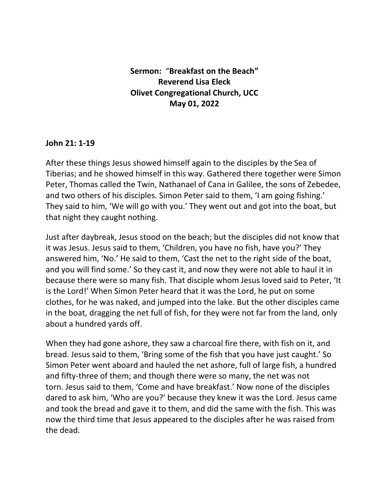## **Sermon:** "**Breakfast on the Beach" Reverend Lisa Eleck Olivet Congregational Church, UCC May 01, 2022**

## **John 21: 1-19**

After these things Jesus showed himself again to the disciples by the Sea of Tiberias; and he showed himself in this way. Gathered there together were Simon Peter, Thomas called the Twin, Nathanael of Cana in Galilee, the sons of Zebedee, and two others of his disciples. Simon Peter said to them, 'I am going fishing.' They said to him, 'We will go with you.' They went out and got into the boat, but that night they caught nothing.

Just after daybreak, Jesus stood on the beach; but the disciples did not know that it was Jesus. Jesus said to them, 'Children, you have no fish, have you?' They answered him, 'No.' He said to them, 'Cast the net to the right side of the boat, and you will find some.' So they cast it, and now they were not able to haul it in because there were so many fish. That disciple whom Jesus loved said to Peter, 'It is the Lord!' When Simon Peter heard that it was the Lord, he put on some clothes, for he was naked, and jumped into the lake. But the other disciples came in the boat, dragging the net full of fish, for they were not far from the land, only about a hundred yards off.

When they had gone ashore, they saw a charcoal fire there, with fish on it, and bread. Jesus said to them, 'Bring some of the fish that you have just caught.' So Simon Peter went aboard and hauled the net ashore, full of large fish, a hundred and fifty-three of them; and though there were so many, the net was not torn. Jesus said to them, 'Come and have breakfast.' Now none of the disciples dared to ask him, 'Who are you?' because they knew it was the Lord. Jesus came and took the bread and gave it to them, and did the same with the fish. This was now the third time that Jesus appeared to the disciples after he was raised from the dead.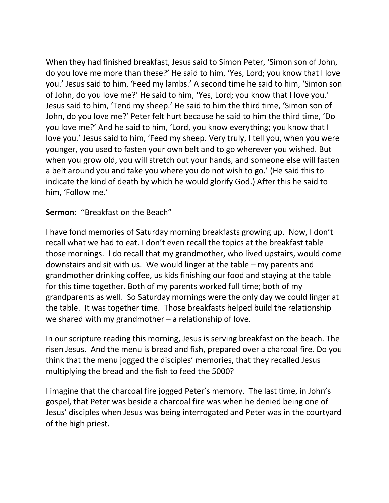When they had finished breakfast, Jesus said to Simon Peter, 'Simon son of John, do you love me more than these?' He said to him, 'Yes, Lord; you know that I love you.' Jesus said to him, 'Feed my lambs.' A second time he said to him, 'Simon son of John, do you love me?' He said to him, 'Yes, Lord; you know that I love you.' Jesus said to him, 'Tend my sheep.' He said to him the third time, 'Simon son of John, do you love me?' Peter felt hurt because he said to him the third time, 'Do you love me?' And he said to him, 'Lord, you know everything; you know that I love you.' Jesus said to him, 'Feed my sheep. Very truly, I tell you, when you were younger, you used to fasten your own belt and to go wherever you wished. But when you grow old, you will stretch out your hands, and someone else will fasten a belt around you and take you where you do not wish to go.' (He said this to indicate the kind of death by which he would glorify God.) After this he said to him, 'Follow me.'

**Sermon:** "Breakfast on the Beach"

I have fond memories of Saturday morning breakfasts growing up. Now, I don't recall what we had to eat. I don't even recall the topics at the breakfast table those mornings. I do recall that my grandmother, who lived upstairs, would come downstairs and sit with us. We would linger at the table – my parents and grandmother drinking coffee, us kids finishing our food and staying at the table for this time together. Both of my parents worked full time; both of my grandparents as well. So Saturday mornings were the only day we could linger at the table. It was together time. Those breakfasts helped build the relationship we shared with my grandmother  $-$  a relationship of love.

In our scripture reading this morning, Jesus is serving breakfast on the beach. The risen Jesus. And the menu is bread and fish, prepared over a charcoal fire. Do you think that the menu jogged the disciples' memories, that they recalled Jesus multiplying the bread and the fish to feed the 5000?

I imagine that the charcoal fire jogged Peter's memory. The last time, in John's gospel, that Peter was beside a charcoal fire was when he denied being one of Jesus' disciples when Jesus was being interrogated and Peter was in the courtyard of the high priest.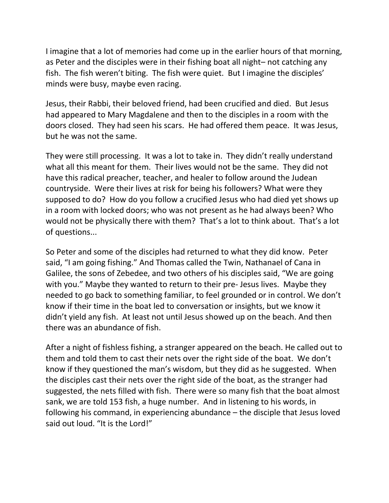I imagine that a lot of memories had come up in the earlier hours of that morning, as Peter and the disciples were in their fishing boat all night– not catching any fish. The fish weren't biting. The fish were quiet. But I imagine the disciples' minds were busy, maybe even racing.

Jesus, their Rabbi, their beloved friend, had been crucified and died. But Jesus had appeared to Mary Magdalene and then to the disciples in a room with the doors closed. They had seen his scars. He had offered them peace. It was Jesus, but he was not the same.

They were still processing. It was a lot to take in. They didn't really understand what all this meant for them. Their lives would not be the same. They did not have this radical preacher, teacher, and healer to follow around the Judean countryside. Were their lives at risk for being his followers? What were they supposed to do? How do you follow a crucified Jesus who had died yet shows up in a room with locked doors; who was not present as he had always been? Who would not be physically there with them? That's a lot to think about. That's a lot of questions...

So Peter and some of the disciples had returned to what they did know. Peter said, "I am going fishing." And Thomas called the Twin, Nathanael of Cana in Galilee, the sons of Zebedee, and two others of his disciples said, "We are going with you." Maybe they wanted to return to their pre- Jesus lives. Maybe they needed to go back to something familiar, to feel grounded or in control. We don't know if their time in the boat led to conversation or insights, but we know it didn't yield any fish. At least not until Jesus showed up on the beach. And then there was an abundance of fish.

After a night of fishless fishing, a stranger appeared on the beach. He called out to them and told them to cast their nets over the right side of the boat. We don't know if they questioned the man's wisdom, but they did as he suggested. When the disciples cast their nets over the right side of the boat, as the stranger had suggested, the nets filled with fish. There were so many fish that the boat almost sank, we are told 153 fish, a huge number. And in listening to his words, in following his command, in experiencing abundance – the disciple that Jesus loved said out loud. "It is the Lord!"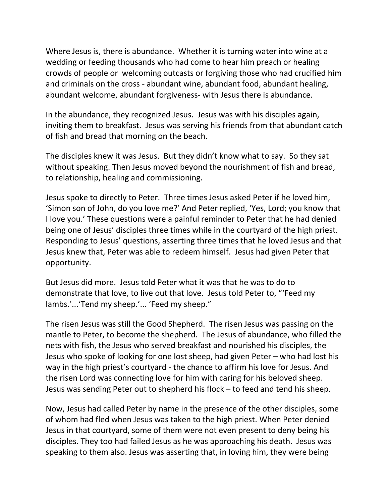Where Jesus is, there is abundance. Whether it is turning water into wine at a wedding or feeding thousands who had come to hear him preach or healing crowds of people or welcoming outcasts or forgiving those who had crucified him and criminals on the cross - abundant wine, abundant food, abundant healing, abundant welcome, abundant forgiveness- with Jesus there is abundance.

In the abundance, they recognized Jesus. Jesus was with his disciples again, inviting them to breakfast. Jesus was serving his friends from that abundant catch of fish and bread that morning on the beach.

The disciples knew it was Jesus. But they didn't know what to say. So they sat without speaking. Then Jesus moved beyond the nourishment of fish and bread, to relationship, healing and commissioning.

Jesus spoke to directly to Peter. Three times Jesus asked Peter if he loved him, 'Simon son of John, do you love me?' And Peter replied, 'Yes, Lord; you know that I love you.' These questions were a painful reminder to Peter that he had denied being one of Jesus' disciples three times while in the courtyard of the high priest. Responding to Jesus' questions, asserting three times that he loved Jesus and that Jesus knew that, Peter was able to redeem himself. Jesus had given Peter that opportunity.

But Jesus did more. Jesus told Peter what it was that he was to do to demonstrate that love, to live out that love. Jesus told Peter to, "'Feed my lambs.'...'Tend my sheep.'... 'Feed my sheep."

The risen Jesus was still the Good Shepherd. The risen Jesus was passing on the mantle to Peter, to become the shepherd. The Jesus of abundance, who filled the nets with fish, the Jesus who served breakfast and nourished his disciples, the Jesus who spoke of looking for one lost sheep, had given Peter – who had lost his way in the high priest's courtyard - the chance to affirm his love for Jesus. And the risen Lord was connecting love for him with caring for his beloved sheep. Jesus was sending Peter out to shepherd his flock – to feed and tend his sheep.

Now, Jesus had called Peter by name in the presence of the other disciples, some of whom had fled when Jesus was taken to the high priest. When Peter denied Jesus in that courtyard, some of them were not even present to deny being his disciples. They too had failed Jesus as he was approaching his death. Jesus was speaking to them also. Jesus was asserting that, in loving him, they were being